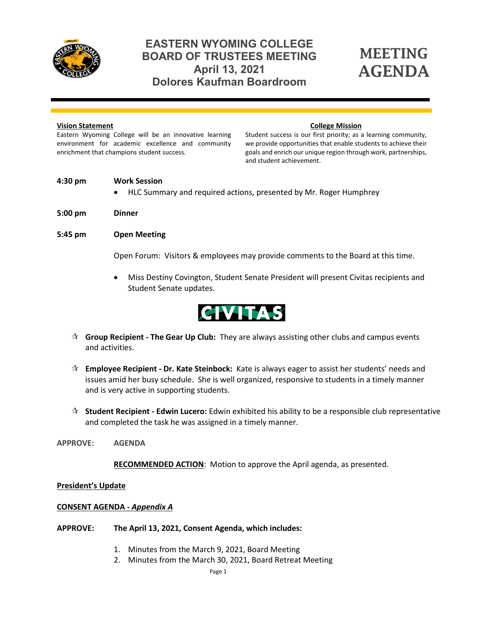

## **EASTERN WYOMING COLLEGE BOARD OF TRUSTEES MEETING April 13, 2021 Dolores Kaufman Boardroom**

# MEETING AGENDA

#### **Vision Statement**

Eastern Wyoming College will be an innovative learning environment for academic excellence and community enrichment that champions student success.

#### **College Mission**

Student success is our first priority; as a learning community, we provide opportunities that enable students to achieve their goals and enrich our unique region through work, partnerships, and student achievement.

#### **4:30 pm Work Session**

- HLC Summary and required actions, presented by Mr. Roger Humphrey
- **5:00 pm Dinner**

#### **5:45 pm Open Meeting**

Open Forum: Visitors & employees may provide comments to the Board at this time.

• Miss Destiny Covington, Student Senate President will present Civitas recipients and Student Senate updates.



- **Group Recipient The Gear Up Club:** They are always assisting other clubs and campus events and activities.
- **Employee Recipient Dr. Kate Steinbock:** Kate is always eager to assist her students' needs and issues amid her busy schedule. She is well organized, responsive to students in a timely manner and is very active in supporting students.
- **Student Recipient Edwin Lucero:** Edwin exhibited his ability to be a responsible club representative and completed the task he was assigned in a timely manner.
- **APPROVE: AGENDA**

 **RECOMMENDED ACTION**: Motion to approve the April agenda, as presented.

#### **President's Update**

#### **CONSENT AGENDA -** *Appendix A*

**APPROVE: The April 13, 2021, Consent Agenda, which includes:**

- 1. Minutes from the March 9, 2021, Board Meeting
- 2. Minutes from the March 30, 2021, Board Retreat Meeting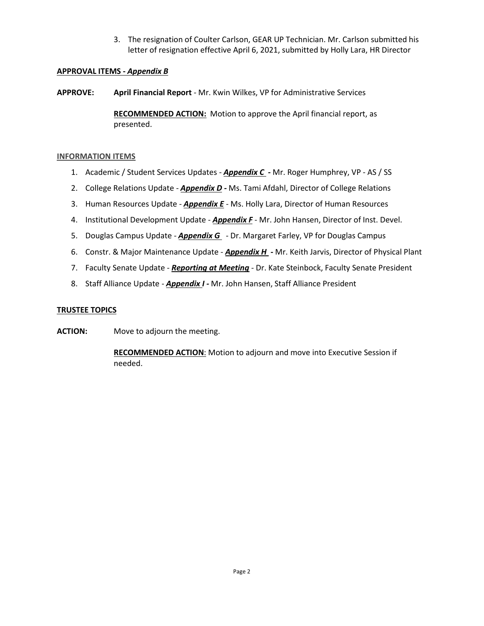3. The resignation of Coulter Carlson, GEAR UP Technician. Mr. Carlson submitted his letter of resignation effective April 6, 2021, submitted by Holly Lara, HR Director

#### **APPROVAL ITEMS -** *Appendix B*

**APPROVE: April Financial Report** *-* Mr. Kwin Wilkes, VP for Administrative Services

**RECOMMENDED ACTION:** Motion to approve the April financial report, as presented.

#### **INFORMATION ITEMS**

- 1. Academic / Student Services Updates *Appendix C -* Mr. Roger Humphrey, VP AS / SS
- 2. College Relations Update *Appendix D -* Ms. Tami Afdahl, Director of College Relations
- 3. Human Resources Update *Appendix E* Ms. Holly Lara, Director of Human Resources
- 4. Institutional Development Update *Appendix F* Mr. John Hansen, Director of Inst. Devel.
- 5. Douglas Campus Update *Appendix G* Dr. Margaret Farley, VP for Douglas Campus
- 6. Constr. & Major Maintenance Update *Appendix H* **-** Mr. Keith Jarvis, Director of Physical Plant
- 7. Faculty Senate Update *Reporting at Meeting -* Dr. Kate Steinbock, Faculty Senate President
- 8. Staff Alliance Update *Appendix I -* Mr. John Hansen, Staff Alliance President

#### **TRUSTEE TOPICS**

**ACTION:** Move to adjourn the meeting.

**RECOMMENDED ACTION**: Motion to adjourn and move into Executive Session if needed.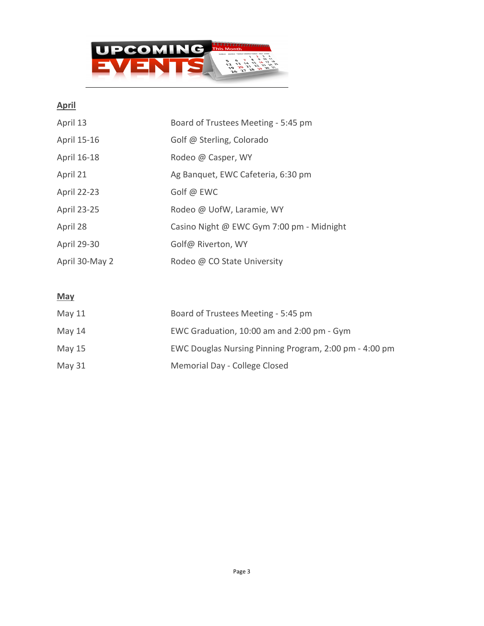

### **April**

| April 13           | Board of Trustees Meeting - 5:45 pm       |
|--------------------|-------------------------------------------|
| April 15-16        | Golf @ Sterling, Colorado                 |
| April 16-18        | Rodeo @ Casper, WY                        |
| April 21           | Ag Banquet, EWC Cafeteria, 6:30 pm        |
| <b>April 22-23</b> | Golf @ EWC                                |
| <b>April 23-25</b> | Rodeo @ UofW, Laramie, WY                 |
| April 28           | Casino Night @ EWC Gym 7:00 pm - Midnight |
| April 29-30        | Golf@ Riverton, WY                        |
| April 30-May 2     | Rodeo @ CO State University               |

### **May**

| May $11$ | Board of Trustees Meeting - 5:45 pm                    |
|----------|--------------------------------------------------------|
| May 14   | EWC Graduation, 10:00 am and 2:00 pm - Gym             |
| May 15   | EWC Douglas Nursing Pinning Program, 2:00 pm - 4:00 pm |
| May 31   | Memorial Day - College Closed                          |